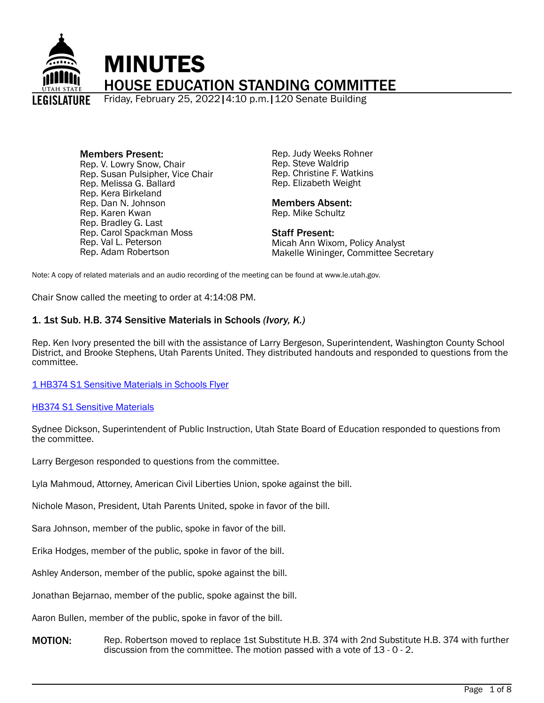

Members Present: Rep. V. Lowry Snow, Chair Rep. Susan Pulsipher, Vice Chair Rep. Melissa G. Ballard Rep. Kera Birkeland Rep. Dan N. Johnson Rep. Karen Kwan Rep. Bradley G. Last Rep. Carol Spackman Moss Rep. Val L. Peterson Rep. Adam Robertson

Rep. Judy Weeks Rohner Rep. Steve Waldrip Rep. Christine F. Watkins Rep. Elizabeth Weight

# Members Absent:

Rep. Mike Schultz

Staff Present: Micah Ann Wixom, Policy Analyst Makelle Wininger, Committee Secretary

Note: A copy of related materials and an audio recording of the meeting can be found at www.le.utah.gov.

Chair Snow called the meeting to order at 4:14:08 PM.

# 1. 1st Sub. H.B. 374 Sensitive Materials in Schools *(Ivory, K.)*

Rep. Ken Ivory presented the bill with the assistance of Larry Bergeson, Superintendent, Washington County School District, and Brooke Stephens, Utah Parents United. They distributed handouts and responded to questions from the committee.

[1 HB374 S1 Sensitive Materials in Schools Flyer](https://le.utah.gov/interim/2022/pdf/00001955.pdf)

#### **[HB374 S1 Sensitive Materials](https://le.utah.gov/interim/2022/pdf/00001978.pdf)**

Sydnee Dickson, Superintendent of Public Instruction, Utah State Board of Education responded to questions from the committee.

Larry Bergeson responded to questions from the committee.

Lyla Mahmoud, Attorney, American Civil Liberties Union, spoke against the bill.

Nichole Mason, President, Utah Parents United, spoke in favor of the bill.

Sara Johnson, member of the public, spoke in favor of the bill.

Erika Hodges, member of the public, spoke in favor of the bill.

Ashley Anderson, member of the public, spoke against the bill.

Jonathan Bejarnao, member of the public, spoke against the bill.

Aaron Bullen, member of the public, spoke in favor of the bill.

MOTION: Rep. Robertson moved to replace 1st Substitute H.B. 374 with 2nd Substitute H.B. 374 with further discussion from the committee. The motion passed with a vote of 13 - 0 - 2.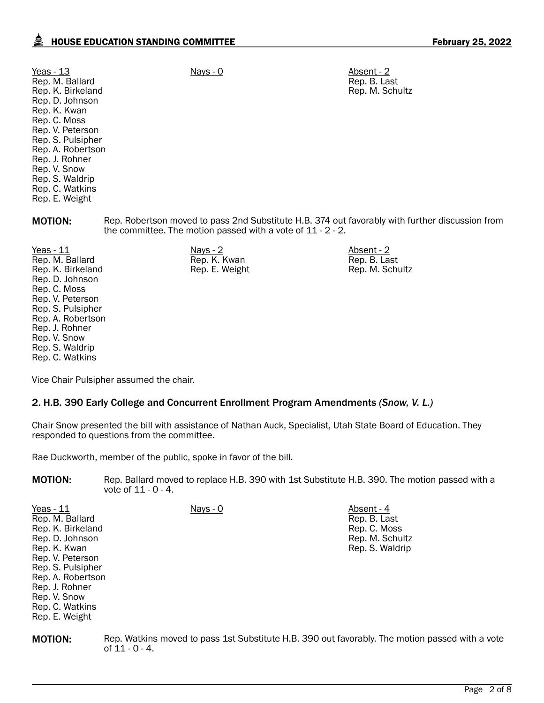| Yeas - 13<br>Rep. M. Ballard<br>Rep. K. Birkeland<br>Rep. D. Johnson<br>Rep. K. Kwan<br>Rep. C. Moss<br>Rep. V. Peterson<br>Rep. S. Pulsipher<br>Rep. A. Robertson<br>Rep. J. Rohner<br>Rep. V. Snow<br>Rep. S. Waldrip<br>Rep. C. Watkins<br>Rep. E. Weight | $Nays - 0$                                                     | Absent - 2<br>Rep. B. Last<br>Rep. M. Schultz                                                   |
|--------------------------------------------------------------------------------------------------------------------------------------------------------------------------------------------------------------------------------------------------------------|----------------------------------------------------------------|-------------------------------------------------------------------------------------------------|
| <b>MOTION:</b>                                                                                                                                                                                                                                               | the committee. The motion passed with a vote of $11 - 2 - 2$ . | Rep. Robertson moved to pass 2nd Substitute H.B. 374 out favorably with further discussion from |
| Yeas - 11<br>Rep. M. Ballard<br>Rep. K. Birkeland<br>Rep. D. Johnson<br>Rep. C. Moss<br>Rep. V. Peterson<br>Rep. S. Pulsipher<br>Rep. A. Robertson<br>Rep. J. Rohner                                                                                         | $Nays - 2$<br>Rep. K. Kwan<br>Rep. E. Weight                   | Absent - 2<br>Rep. B. Last<br>Rep. M. Schultz                                                   |

Vice Chair Pulsipher assumed the chair.

## 2. H.B. 390 Early College and Concurrent Enrollment Program Amendments *(Snow, V. L.)*

Chair Snow presented the bill with assistance of Nathan Auck, Specialist, Utah State Board of Education. They responded to questions from the committee.

Rae Duckworth, member of the public, spoke in favor of the bill.

MOTION: Rep. Ballard moved to replace H.B. 390 with 1st Substitute H.B. 390. The motion passed with a vote of 11 - 0 - 4.

| Yeas - $11$        | Nays - 0 | Absent - 4      |
|--------------------|----------|-----------------|
| Rep. M. Ballard    |          | Rep. B. Last    |
| Rep. K. Birkeland  |          | Rep. C. Moss    |
| Rep. D. Johnson    |          | Rep. M. Schultz |
| Rep. K. Kwan       |          | Rep. S. Waldrip |
| Rep. V. Peterson   |          |                 |
| Rep. S. Pulsipher  |          |                 |
| Rep. A. Robertson  |          |                 |
| Rep. J. Rohner     |          |                 |
| Rep. V. Snow       |          |                 |
| $Don \cap$ Watking |          |                 |

Rep. C. Watkins Rep. E. Weight

Rep. V. Snow Rep. S. Waldrip Rep. C. Watkins

MOTION: Rep. Watkins moved to pass 1st Substitute H.B. 390 out favorably. The motion passed with a vote of 11 - 0 - 4.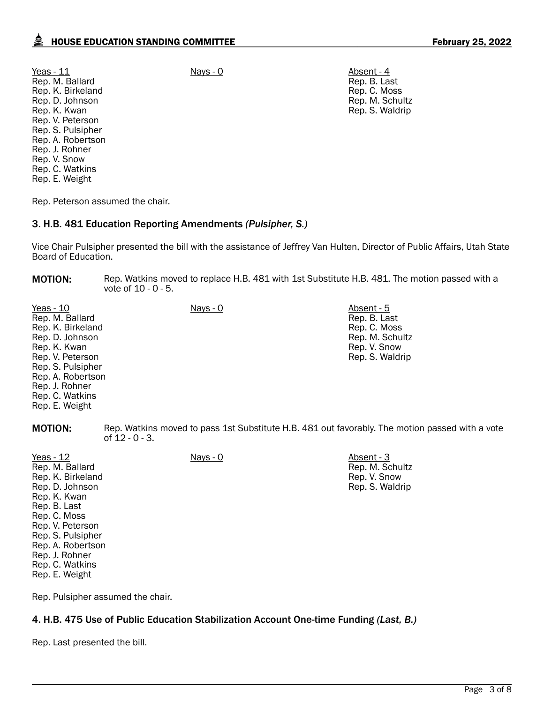Yeas - 11 Nays - 0 Nays - 0 Absent - 4 Rep. M. Ballard Rep. K. Birkeland Rep. D. Johnson Rep. K. Kwan Rep. V. Peterson Rep. S. Pulsipher Rep. A. Robertson Rep. J. Rohner Rep. V. Snow Rep. C. Watkins Rep. E. Weight

Rep. B. Last Rep. C. Moss Rep. M. Schultz Rep. S. Waldrip

Rep. Peterson assumed the chair.

#### 3. H.B. 481 Education Reporting Amendments *(Pulsipher, S.)*

Vice Chair Pulsipher presented the bill with the assistance of Jeffrey Van Hulten, Director of Public Affairs, Utah State Board of Education.

**MOTION:** Rep. Watkins moved to replace H.B. 481 with 1st Substitute H.B. 481. The motion passed with a vote of 10 - 0 - 5.

Yeas - 10 Nays - 0 Nays - 0 Absent - 5 Rep. M. Ballard Rep. K. Birkeland Rep. D. Johnson Rep. K. Kwan Rep. V. Peterson Rep. S. Pulsipher Rep. A. Robertson Rep. J. Rohner Rep. C. Watkins Rep. E. Weight

Rep. B. Last Rep. C. Moss Rep. M. Schultz Rep. V. Snow Rep. S. Waldrip

> Rep. M. Schultz Rep. V. Snow Rep. S. Waldrip

MOTION: Rep. Watkins moved to pass 1st Substitute H.B. 481 out favorably. The motion passed with a vote of 12 - 0 - 3.

Yeas - 12 Nays - 0 Nays - 0 Absent - 3 Rep. M. Ballard Rep. K. Birkeland Rep. D. Johnson Rep. K. Kwan Rep. B. Last Rep. C. Moss Rep. V. Peterson Rep. S. Pulsipher Rep. A. Robertson Rep. J. Rohner Rep. C. Watkins Rep. E. Weight

Rep. Pulsipher assumed the chair.

## 4. H.B. 475 Use of Public Education Stabilization Account One-time Funding *(Last, B.)*

Rep. Last presented the bill.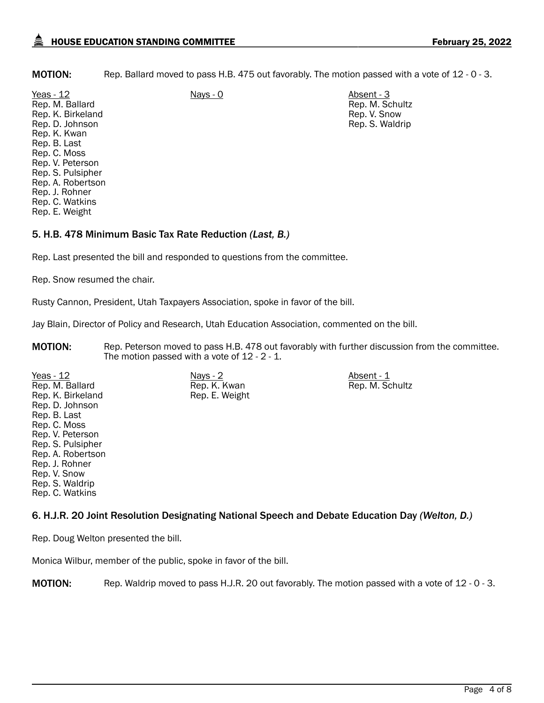MOTION: Rep. Ballard moved to pass H.B. 475 out favorably. The motion passed with a vote of 12 - 0 - 3.

Yeas - 12 Nays - 0 Nays - 0 Absent - 3 Rep. M. Ballard Rep. K. Birkeland Rep. D. Johnson Rep. K. Kwan Rep. B. Last Rep. C. Moss Rep. V. Peterson Rep. S. Pulsipher Rep. A. Robertson Rep. J. Rohner Rep. C. Watkins Rep. E. Weight

Rep. M. Schultz Rep. V. Snow Rep. S. Waldrip

Rep. M. Schultz

# 5. H.B. 478 Minimum Basic Tax Rate Reduction *(Last, B.)*

Rep. Last presented the bill and responded to questions from the committee.

Rep. Snow resumed the chair.

Rusty Cannon, President, Utah Taxpayers Association, spoke in favor of the bill.

Jay Blain, Director of Policy and Research, Utah Education Association, commented on the bill.

Rep. K. Kwan Rep. E. Weight

MOTION: Rep. Peterson moved to pass H.B. 478 out favorably with further discussion from the committee. The motion passed with a vote of 12 - 2 - 1.

Yeas - 12 Nays - 2 Nays - 2 Absent - 1 Rep. M. Ballard Rep. K. Birkeland Rep. D. Johnson Rep. B. Last Rep. C. Moss Rep. V. Peterson Rep. S. Pulsipher Rep. A. Robertson Rep. J. Rohner Rep. V. Snow Rep. S. Waldrip Rep. C. Watkins

# 6. H.J.R. 20 Joint Resolution Designating National Speech and Debate Education Day *(Welton, D.)*

Rep. Doug Welton presented the bill.

Monica Wilbur, member of the public, spoke in favor of the bill.

MOTION: Rep. Waldrip moved to pass H.J.R. 20 out favorably. The motion passed with a vote of 12 - 0 - 3.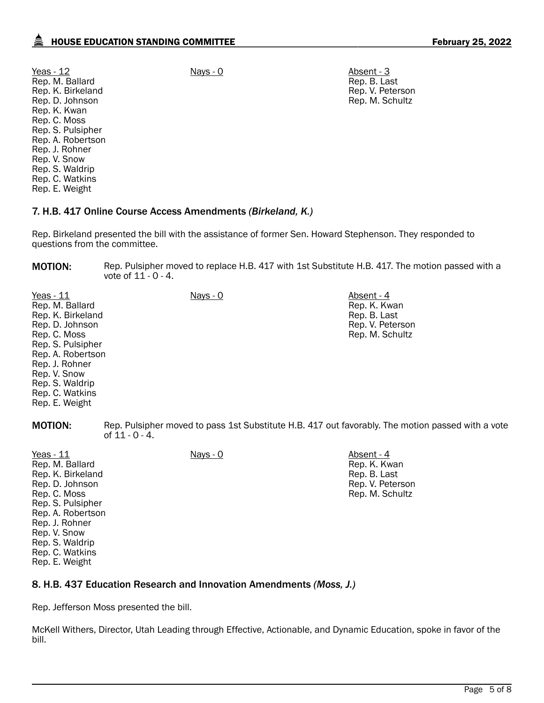Yeas - 12 Nays - 0 Nays - 0 Absent - 3 Rep. M. Ballard Rep. K. Birkeland Rep. D. Johnson Rep. K. Kwan Rep. C. Moss Rep. S. Pulsipher Rep. A. Robertson Rep. J. Rohner Rep. V. Snow Rep. S. Waldrip Rep. C. Watkins Rep. E. Weight

Rep. B. Last Rep. V. Peterson Rep. M. Schultz

## 7. H.B. 417 Online Course Access Amendments *(Birkeland, K.)*

Rep. Birkeland presented the bill with the assistance of former Sen. Howard Stephenson. They responded to questions from the committee.

**MOTION:** Rep. Pulsipher moved to replace H.B. 417 with 1st Substitute H.B. 417. The motion passed with a vote of 11 - 0 - 4.

| Yeas - 11         | Nays - 0 | Absent - 4       |
|-------------------|----------|------------------|
| Rep. M. Ballard   |          | Rep. K. Kwan     |
| Rep. K. Birkeland |          | Rep. B. Last     |
| Rep. D. Johnson   |          | Rep. V. Peterson |
| Rep. C. Moss      |          | Rep. M. Schultz  |
| Rep. S. Pulsipher |          |                  |
| Rep. A. Robertson |          |                  |
| Rep. J. Rohner    |          |                  |
| Rep. V. Snow      |          |                  |
| Rep. S. Waldrip   |          |                  |
| Rep. C. Watkins   |          |                  |
| Rep. E. Weight    |          |                  |
|                   |          |                  |

**MOTION:** Rep. Pulsipher moved to pass 1st Substitute H.B. 417 out favorably. The motion passed with a vote of  $11 - 0 - 4$ .

| Yeas $-11$        | Nays - 0 | Absent - 4       |
|-------------------|----------|------------------|
| Rep. M. Ballard   |          | Rep. K. Kwan     |
| Rep. K. Birkeland |          | Rep. B. Last     |
| Rep. D. Johnson   |          | Rep. V. Peterson |
| Rep. C. Moss      |          | Rep. M. Schultz  |
| Rep. S. Pulsipher |          |                  |
| Rep. A. Robertson |          |                  |
| Rep. J. Rohner    |          |                  |
| Rep. V. Snow      |          |                  |
| Rep. S. Waldrip   |          |                  |
| Rep. C. Watkins   |          |                  |
| Rep. E. Weight    |          |                  |
|                   |          |                  |

## 8. H.B. 437 Education Research and Innovation Amendments *(Moss, J.)*

Rep. Jefferson Moss presented the bill.

McKell Withers, Director, Utah Leading through Effective, Actionable, and Dynamic Education, spoke in favor of the bill.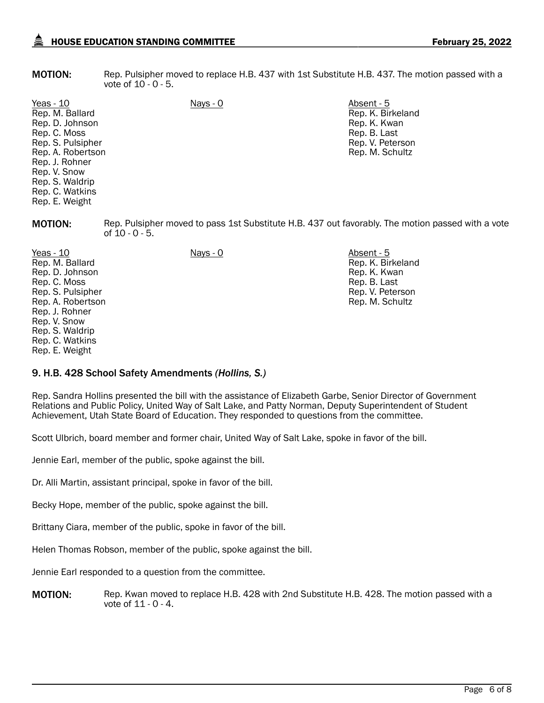**MOTION:** Rep. Pulsipher moved to replace H.B. 437 with 1st Substitute H.B. 437. The motion passed with a vote of 10 - 0 - 5.

Yeas - 10 Nays - 0 Absent - 5 Rep. M. Ballard Rep. D. Johnson Rep. C. Moss Rep. S. Pulsipher Rep. A. Robertson Rep. J. Rohner Rep. V. Snow Rep. S. Waldrip Rep. C. Watkins Rep. E. Weight

Rep. K. Birkeland Rep. K. Kwan Rep. B. Last Rep. V. Peterson Rep. M. Schultz

**MOTION:** Rep. Pulsipher moved to pass 1st Substitute H.B. 437 out favorably. The motion passed with a vote of 10 - 0 - 5.

Yeas - 10 Nays - 0 Absent - 5 Rep. M. Ballard Rep. D. Johnson Rep. C. Moss Rep. S. Pulsipher Rep. A. Robertson Rep. J. Rohner Rep. V. Snow Rep. S. Waldrip Rep. C. Watkins Rep. E. Weight Rep. K. Birkeland Rep. K. Kwan Rep. B. Last Rep. V. Peterson Rep. M. Schultz

## 9. H.B. 428 School Safety Amendments *(Hollins, S.)*

Rep. Sandra Hollins presented the bill with the assistance of Elizabeth Garbe, Senior Director of Government Relations and Public Policy, United Way of Salt Lake, and Patty Norman, Deputy Superintendent of Student Achievement, Utah State Board of Education. They responded to questions from the committee.

Scott Ulbrich, board member and former chair, United Way of Salt Lake, spoke in favor of the bill.

Jennie Earl, member of the public, spoke against the bill.

Dr. Alli Martin, assistant principal, spoke in favor of the bill.

Becky Hope, member of the public, spoke against the bill.

Brittany Ciara, member of the public, spoke in favor of the bill.

Helen Thomas Robson, member of the public, spoke against the bill.

Jennie Earl responded to a question from the committee.

**MOTION:** Rep. Kwan moved to replace H.B. 428 with 2nd Substitute H.B. 428. The motion passed with a vote of 11 - 0 - 4.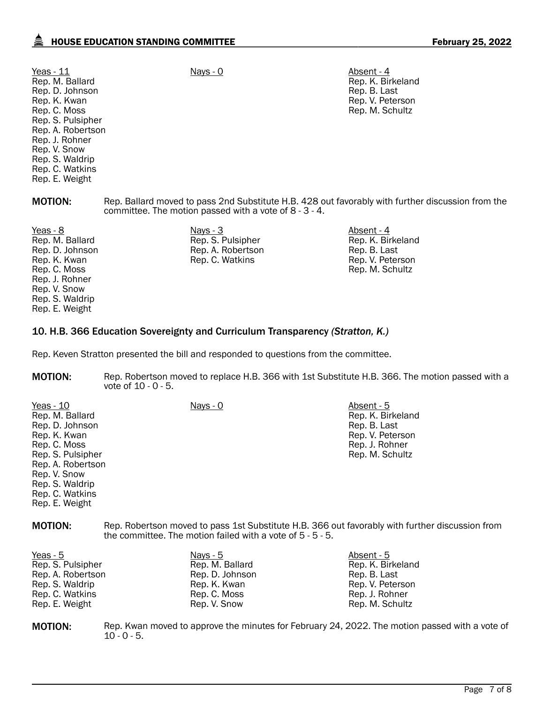| Yeas - $11$       | Nays - 0 | Absent - 4  |
|-------------------|----------|-------------|
| Rep. M. Ballard   |          | Rep. K. Bir |
| Rep. D. Johnson   |          | Rep. B. La  |
| Rep. K. Kwan      |          | Rep. V. Pe  |
| Rep. C. Moss      |          | Rep. M. So  |
| Rep. S. Pulsipher |          |             |
| Rep. A. Robertson |          |             |
| Rep. J. Rohner    |          |             |
| Rep. V. Snow      |          |             |
| Rep. S. Waldrip   |          |             |
| Rep. C. Watkins   |          |             |
| Rep. E. Weight    |          |             |
|                   |          |             |

Rep. K. Birkeland Rep. B. Last Rep. V. Peterson Rep. M. Schultz

MOTION: Rep. Ballard moved to pass 2nd Substitute H.B. 428 out favorably with further discussion from the committee. The motion passed with a vote of 8 - 3 - 4.

Yeas - 8 Nays - 3 Nays - 3 Absent - 4 Absent - 4 Rep. M. Ballard Rep. D. Johnson Rep. K. Kwan Rep. C. Moss Rep. J. Rohner Rep. V. Snow Rep. S. Waldrip Rep. E. Weight

#### Rep. S. Pulsipher Rep. A. Robertson Rep. C. Watkins

Rep. K. Birkeland Rep. B. Last Rep. V. Peterson Rep. M. Schultz

## 10. H.B. 366 Education Sovereignty and Curriculum Transparency *(Stratton, K.)*

Rep. Keven Stratton presented the bill and responded to questions from the committee.

MOTION: Rep. Robertson moved to replace H.B. 366 with 1st Substitute H.B. 366. The motion passed with a vote of 10 - 0 - 5.

| Yeas - 10         | <u> Nays - 0</u> | Absent - 5        |
|-------------------|------------------|-------------------|
| Rep. M. Ballard   |                  | Rep. K. Birkeland |
| Rep. D. Johnson   |                  | Rep. B. Last      |
| Rep. K. Kwan      |                  | Rep. V. Peterson  |
| Rep. C. Moss      |                  | Rep. J. Rohner    |
| Rep. S. Pulsipher |                  | Rep. M. Schultz   |
| Rep. A. Robertson |                  |                   |
| Rep. V. Snow      |                  |                   |
| Rep. S. Waldrip   |                  |                   |
| Rep. C. Watkins   |                  |                   |
| Rep. E. Weight    |                  |                   |

MOTION: Rep. Robertson moved to pass 1st Substitute H.B. 366 out favorably with further discussion from the committee. The motion failed with a vote of 5 - 5 - 5.

| <u>Nays - 5</u><br>Rep. M. Ballard<br>Rep. D. Johnson<br>Rep. K. Kwan<br>Rep. C. Moss | Absent - 5<br>Rep. K. Birkeland<br>Rep. B. Last<br>Rep. V. Peterson<br>Rep. J. Rohner |
|---------------------------------------------------------------------------------------|---------------------------------------------------------------------------------------|
| Rep. V. Snow                                                                          | Rep. M. Schultz                                                                       |
|                                                                                       |                                                                                       |

**MOTION:** Rep. Kwan moved to approve the minutes for February 24, 2022. The motion passed with a vote of  $10 - 0 - 5$ .